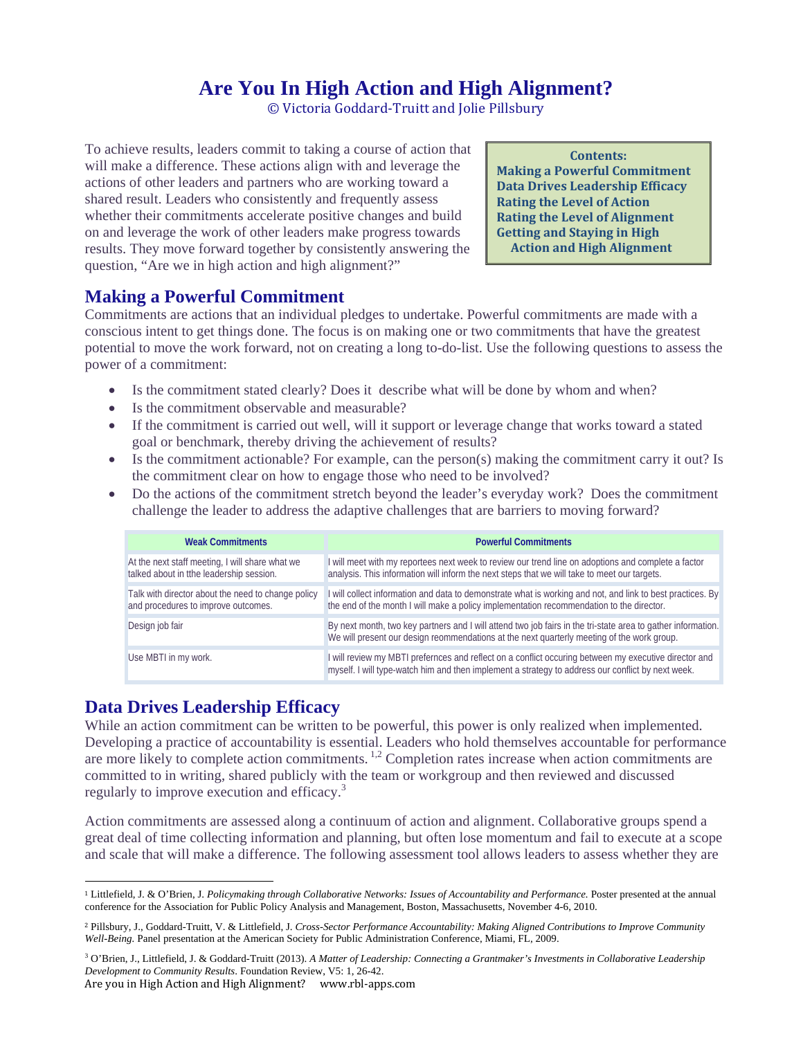# **Are You In High Action and High Alignment?**

© Victoria Goddard-Truitt and Jolie Pillsbury

To achieve results, leaders commit to taking a course of action that will make a difference. These actions align with and leverage the actions of other leaders and partners who are working toward a shared result. Leaders who consistently and frequently assess whether their commitments accelerate positive changes and build on and leverage the work of other leaders make progress towards results. They move forward together by consistently answering the question, "Are we in high action and high alignment?"

**Contents: Making a Powerful Commitment Data Drives Leadership Efficacy Rating the Level of Action Rating the Level of Alignment Getting and Staying in High Action and High Alignment**

#### **Making a Powerful Commitment**

Commitments are actions that an individual pledges to undertake. Powerful commitments are made with a conscious intent to get things done. The focus is on making one or two commitments that have the greatest potential to move the work forward, not on creating a long to-do-list. Use the following questions to assess the power of a commitment:

- Is the commitment stated clearly? Does it describe what will be done by whom and when?
- Is the commitment observable and measurable?
- If the commitment is carried out well, will it support or leverage change that works toward a stated goal or benchmark, thereby driving the achievement of results?
- Is the commitment actionable? For example, can the person(s) making the commitment carry it out? Is the commitment clear on how to engage those who need to be involved?
- Do the actions of the commitment stretch beyond the leader's everyday work? Does the commitment challenge the leader to address the adaptive challenges that are barriers to moving forward?

| <b>Weak Commitments</b>                                                                     | <b>Powerful Commitments</b>                                                                                                                                                                                |
|---------------------------------------------------------------------------------------------|------------------------------------------------------------------------------------------------------------------------------------------------------------------------------------------------------------|
| At the next staff meeting, I will share what we<br>talked about in tthe leadership session. | I will meet with my reportees next week to review our trend line on adoptions and complete a factor<br>analysis. This information will inform the next steps that we will take to meet our targets.        |
| Talk with director about the need to change policy<br>and procedures to improve outcomes.   | I will collect information and data to demonstrate what is working and not, and link to best practices. By<br>the end of the month I will make a policy implementation recommendation to the director.     |
| Design job fair                                                                             | By next month, two key partners and I will attend two job fairs in the tri-state area to gather information.<br>We will present our design reommendations at the next quarterly meeting of the work group. |
| Use MBTI in my work.                                                                        | I will review my MBTI prefernces and reflect on a conflict occuring between my executive director and<br>myself. I will type-watch him and then implement a strategy to address our conflict by next week. |

#### **Data Drives Leadership Efficacy**

While an action commitment can be written to be powerful, this power is only realized when implemented. Developing a practice of accountability is essential. Leaders who hold themselves accountable for performance are more likely to complete action commitments.<sup>1,2</sup> Completion rates increase when action commitments are committed to in writing, shared publicly with the team or workgroup and then reviewed and discussed regularly to improve execution and efficacy.<sup>3</sup>

Action commitments are assessed along a continuum of action and alignment. Collaborative groups spend a great deal of time collecting information and planning, but often lose momentum and fail to execute at a scope and scale that will make a difference. The following assessment tool allows leaders to assess whether they are

 <sup>1</sup> Littlefield, J. & O'Brien, J. *Policymaking through Collaborative Networks: Issues of Accountability and Performance.* Poster presented at the annual conference for the Association for Public Policy Analysis and Management, Boston, Massachusetts, November 4-6, 2010.

<sup>2</sup> Pillsbury, J., Goddard-Truitt, V. & Littlefield, J. *Cross-Sector Performance Accountability: Making Aligned Contributions to Improve Community Well-Being.* Panel presentation at the American Society for Public Administration Conference, Miami, FL, 2009.

<sup>&</sup>lt;sup>3</sup> O'Brien, J., Littlefield, J. & Goddard-Truitt (2013). A Matter of Leadership: Connecting a Grantmaker's Investments in Collaborative Leadership *Development to Community Results*. Foundation Review, V5: 1, 26-42.

Are you in High Action and High Alignment? www.rbl-apps.com